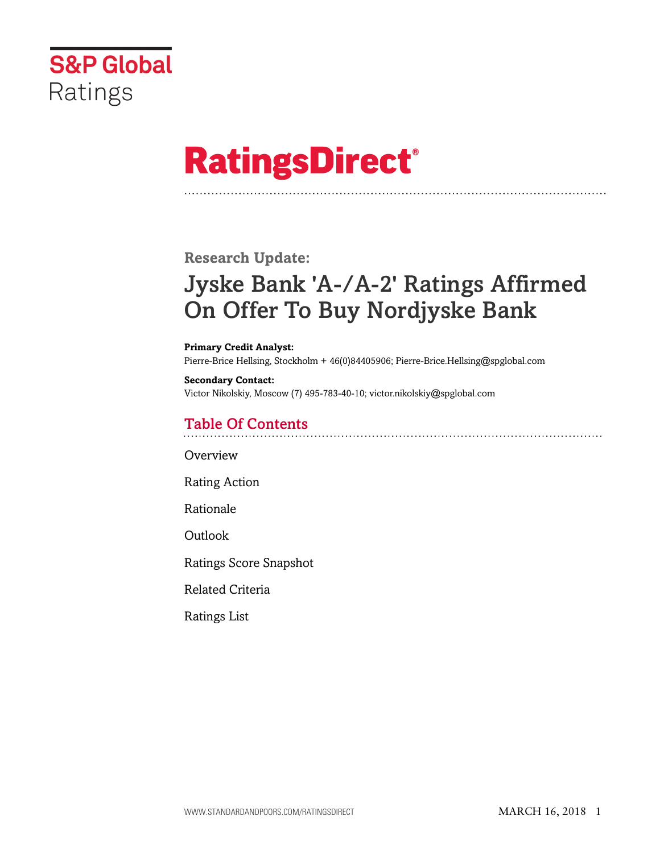

# **RatingsDirect®**

# **Research Update:**

# Jyske Bank 'A-/A-2' Ratings Affirmed On Offer To Buy Nordjyske Bank

#### **Primary Credit Analyst:**

Pierre-Brice Hellsing, Stockholm + 46(0)84405906; Pierre-Brice.Hellsing@spglobal.com

#### **Secondary Contact:** Victor Nikolskiy, Moscow (7) 495-783-40-10; victor.nikolskiy@spglobal.com

# Table Of Contents

[Overview](#page-1-0)

[Rating Action](#page-1-1)

[Rationale](#page-1-2)

[Outlook](#page-2-0)

[Ratings Score Snapshot](#page-3-0)

[Related Criteria](#page-3-1)

[Ratings List](#page-4-0)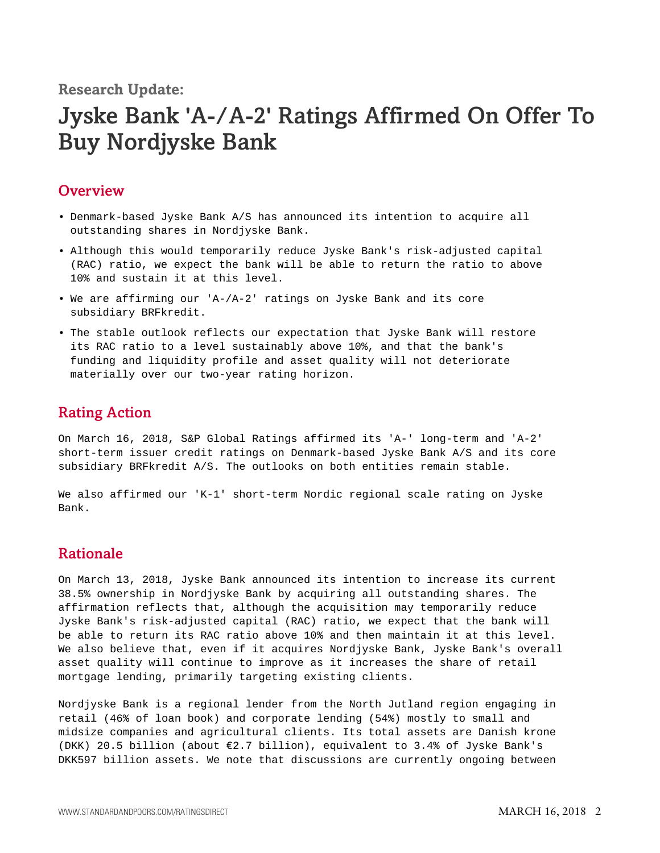**Research Update:**

# Jyske Bank 'A-/A-2' Ratings Affirmed On Offer To Buy Nordjyske Bank

### <span id="page-1-0"></span>**Overview**

- Denmark-based Jyske Bank A/S has announced its intention to acquire all outstanding shares in Nordjyske Bank.
- Although this would temporarily reduce Jyske Bank's risk-adjusted capital (RAC) ratio, we expect the bank will be able to return the ratio to above 10% and sustain it at this level.
- We are affirming our 'A-/A-2' ratings on Jyske Bank and its core subsidiary BRFkredit.
- The stable outlook reflects our expectation that Jyske Bank will restore its RAC ratio to a level sustainably above 10%, and that the bank's funding and liquidity profile and asset quality will not deteriorate materially over our two-year rating horizon.

## <span id="page-1-1"></span>Rating Action

On March 16, 2018, S&P Global Ratings affirmed its 'A-' long-term and 'A-2' short-term issuer credit ratings on Denmark-based Jyske Bank A/S and its core subsidiary BRFkredit A/S. The outlooks on both entities remain stable.

We also affirmed our 'K-1' short-term Nordic regional scale rating on Jyske Bank.

# <span id="page-1-2"></span>Rationale

On March 13, 2018, Jyske Bank announced its intention to increase its current 38.5% ownership in Nordjyske Bank by acquiring all outstanding shares. The affirmation reflects that, although the acquisition may temporarily reduce Jyske Bank's risk-adjusted capital (RAC) ratio, we expect that the bank will be able to return its RAC ratio above 10% and then maintain it at this level. We also believe that, even if it acquires Nordjyske Bank, Jyske Bank's overall asset quality will continue to improve as it increases the share of retail mortgage lending, primarily targeting existing clients.

Nordjyske Bank is a regional lender from the North Jutland region engaging in retail (46% of loan book) and corporate lending (54%) mostly to small and midsize companies and agricultural clients. Its total assets are Danish krone (DKK) 20.5 billion (about €2.7 billion), equivalent to 3.4% of Jyske Bank's DKK597 billion assets. We note that discussions are currently ongoing between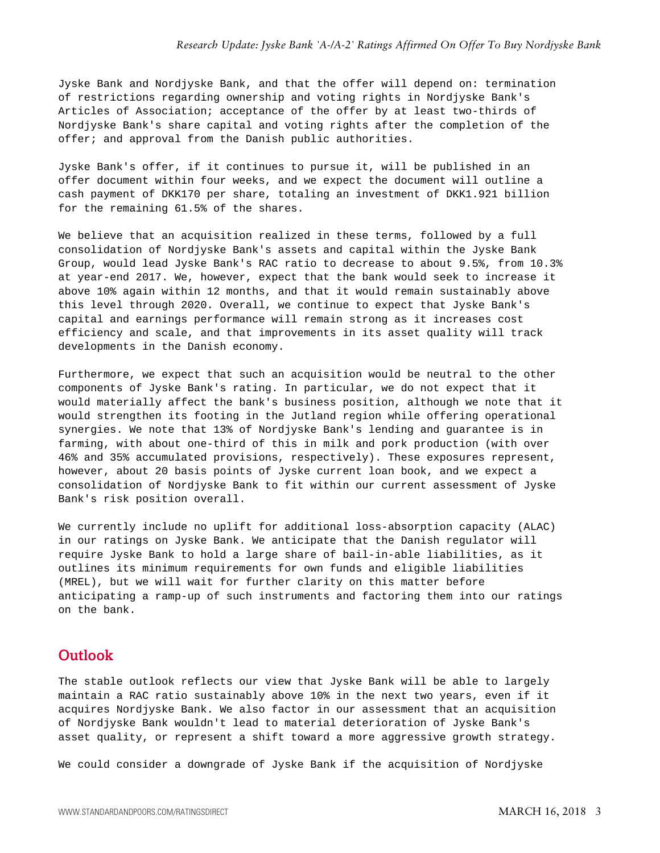Jyske Bank and Nordjyske Bank, and that the offer will depend on: termination of restrictions regarding ownership and voting rights in Nordjyske Bank's Articles of Association; acceptance of the offer by at least two-thirds of Nordjyske Bank's share capital and voting rights after the completion of the offer; and approval from the Danish public authorities.

Jyske Bank's offer, if it continues to pursue it, will be published in an offer document within four weeks, and we expect the document will outline a cash payment of DKK170 per share, totaling an investment of DKK1.921 billion for the remaining 61.5% of the shares.

We believe that an acquisition realized in these terms, followed by a full consolidation of Nordjyske Bank's assets and capital within the Jyske Bank Group, would lead Jyske Bank's RAC ratio to decrease to about 9.5%, from 10.3% at year-end 2017. We, however, expect that the bank would seek to increase it above 10% again within 12 months, and that it would remain sustainably above this level through 2020. Overall, we continue to expect that Jyske Bank's capital and earnings performance will remain strong as it increases cost efficiency and scale, and that improvements in its asset quality will track developments in the Danish economy.

Furthermore, we expect that such an acquisition would be neutral to the other components of Jyske Bank's rating. In particular, we do not expect that it would materially affect the bank's business position, although we note that it would strengthen its footing in the Jutland region while offering operational synergies. We note that 13% of Nordjyske Bank's lending and guarantee is in farming, with about one-third of this in milk and pork production (with over 46% and 35% accumulated provisions, respectively). These exposures represent, however, about 20 basis points of Jyske current loan book, and we expect a consolidation of Nordjyske Bank to fit within our current assessment of Jyske Bank's risk position overall.

We currently include no uplift for additional loss-absorption capacity (ALAC) in our ratings on Jyske Bank. We anticipate that the Danish regulator will require Jyske Bank to hold a large share of bail-in-able liabilities, as it outlines its minimum requirements for own funds and eligible liabilities (MREL), but we will wait for further clarity on this matter before anticipating a ramp-up of such instruments and factoring them into our ratings on the bank.

### <span id="page-2-0"></span>**Outlook**

The stable outlook reflects our view that Jyske Bank will be able to largely maintain a RAC ratio sustainably above 10% in the next two years, even if it acquires Nordjyske Bank. We also factor in our assessment that an acquisition of Nordjyske Bank wouldn't lead to material deterioration of Jyske Bank's asset quality, or represent a shift toward a more aggressive growth strategy.

We could consider a downgrade of Jyske Bank if the acquisition of Nordjyske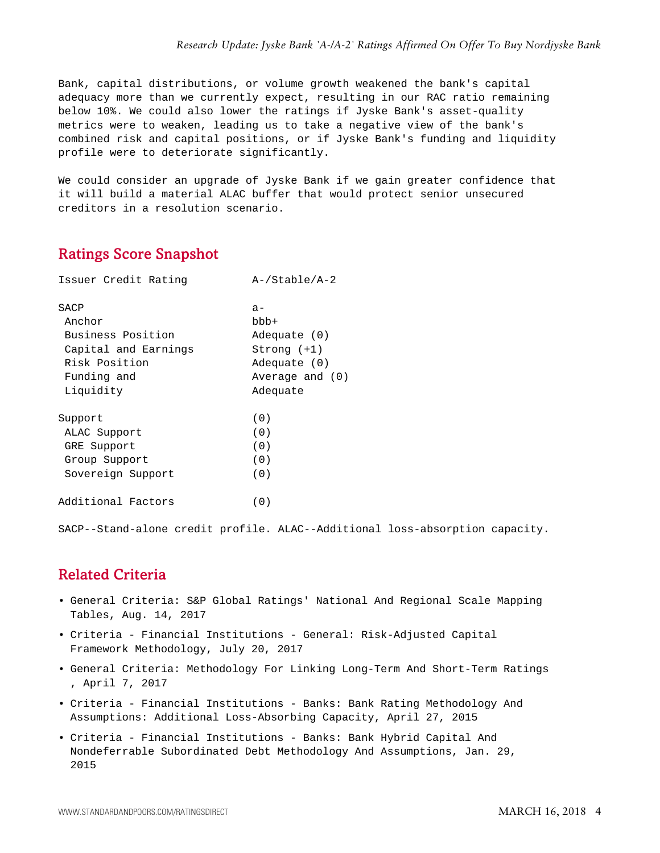Bank, capital distributions, or volume growth weakened the bank's capital adequacy more than we currently expect, resulting in our RAC ratio remaining below 10%. We could also lower the ratings if Jyske Bank's asset-quality metrics were to weaken, leading us to take a negative view of the bank's combined risk and capital positions, or if Jyske Bank's funding and liquidity profile were to deteriorate significantly.

We could consider an upgrade of Jyske Bank if we gain greater confidence that it will build a material ALAC buffer that would protect senior unsecured creditors in a resolution scenario.

# <span id="page-3-0"></span>Ratings Score Snapshot

| Issuer Credit Rating | $A$ -/Stable/A-2 |
|----------------------|------------------|
| SACP                 | $a -$            |
| Anchor               | bbb+             |
| Business Position    | Adequate (0)     |
| Capital and Earnings | $Strong (+1)$    |
| Risk Position        | Adequate (0)     |
| Funding and          | Average and (0)  |
| Liquidity            | Adequate         |
| Support              | (0)              |
| ALAC Support         | (0)              |
| GRE Support          | (0)              |
| Group Support        | (0)              |
| Sovereign Support    | (0)              |
| Additional Factors   | (0)              |

SACP--Stand-alone credit profile. ALAC--Additional loss-absorption capacity.

# <span id="page-3-1"></span>Related Criteria

- General Criteria: S&P Global Ratings' National And Regional Scale Mapping Tables, Aug. 14, 2017
- Criteria Financial Institutions General: Risk-Adjusted Capital Framework Methodology, July 20, 2017
- General Criteria: Methodology For Linking Long-Term And Short-Term Ratings , April 7, 2017
- Criteria Financial Institutions Banks: Bank Rating Methodology And Assumptions: Additional Loss-Absorbing Capacity, April 27, 2015
- Criteria Financial Institutions Banks: Bank Hybrid Capital And Nondeferrable Subordinated Debt Methodology And Assumptions, Jan. 29, 2015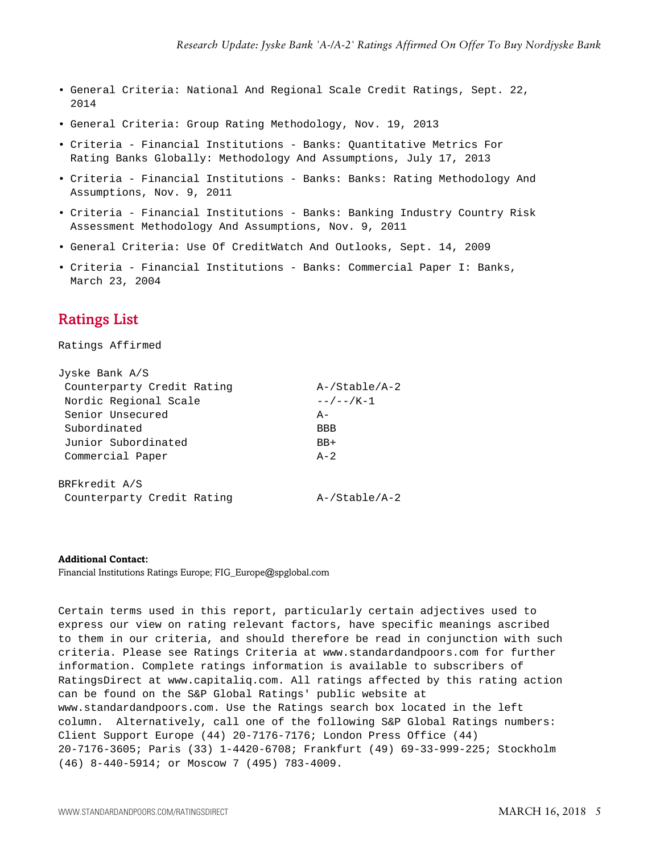- General Criteria: National And Regional Scale Credit Ratings, Sept. 22, 2014
- General Criteria: Group Rating Methodology, Nov. 19, 2013
- Criteria Financial Institutions Banks: Quantitative Metrics For Rating Banks Globally: Methodology And Assumptions, July 17, 2013
- Criteria Financial Institutions Banks: Banks: Rating Methodology And Assumptions, Nov. 9, 2011
- Criteria Financial Institutions Banks: Banking Industry Country Risk Assessment Methodology And Assumptions, Nov. 9, 2011
- General Criteria: Use Of CreditWatch And Outlooks, Sept. 14, 2009
- Criteria Financial Institutions Banks: Commercial Paper I: Banks, March 23, 2004

# <span id="page-4-0"></span>Ratings List

Ratings Affirmed

| Jyske Bank A/S             |                     |
|----------------------------|---------------------|
| Counterparty Credit Rating | $A$ -/Stable/A-2    |
| Nordic Regional Scale      | $- - / - - / K - 1$ |
| Senior Unsecured           | $A -$               |
| Subordinated               | <b>BBB</b>          |
| Junior Subordinated        | $BB+$               |
| Commercial Paper           | $A - 2$             |
| BRFkredit A/S              |                     |
| Counterparty Credit Rating | $A$ -/Stable/A-2    |
|                            |                     |

**Additional Contact:**

Financial Institutions Ratings Europe; FIG\_Europe@spglobal.com

Certain terms used in this report, particularly certain adjectives used to express our view on rating relevant factors, have specific meanings ascribed to them in our criteria, and should therefore be read in conjunction with such criteria. Please see Ratings Criteria at www.standardandpoors.com for further information. Complete ratings information is available to subscribers of RatingsDirect at www.capitaliq.com. All ratings affected by this rating action can be found on the S&P Global Ratings' public website at www.standardandpoors.com. Use the Ratings search box located in the left column. Alternatively, call one of the following S&P Global Ratings numbers: Client Support Europe (44) 20-7176-7176; London Press Office (44) 20-7176-3605; Paris (33) 1-4420-6708; Frankfurt (49) 69-33-999-225; Stockholm (46) 8-440-5914; or Moscow 7 (495) 783-4009.